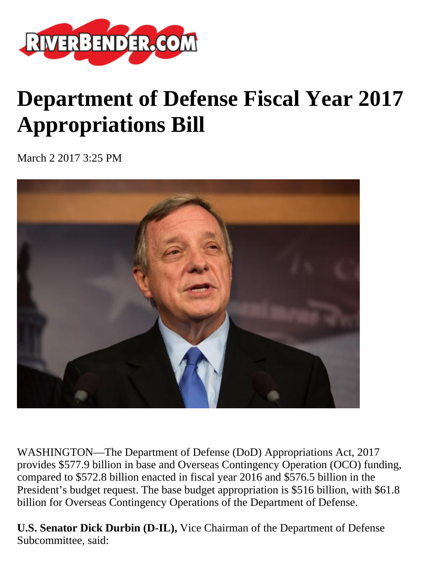

# **Department of Defense Fiscal Year 2017 Appropriations Bill**

March 2 2017 3:25 PM



WASHINGTON—The Department of Defense (DoD) Appropriations Act, 2017 provides \$577.9 billion in base and Overseas Contingency Operation (OCO) funding, compared to \$572.8 billion enacted in fiscal year 2016 and \$576.5 billion in the President's budget request. The base budget appropriation is \$516 billion, with \$61.8 billion for Overseas Contingency Operations of the Department of Defense.

**U.S. Senator Dick Durbin (D-IL),** Vice Chairman of the Department of Defense Subcommittee, said: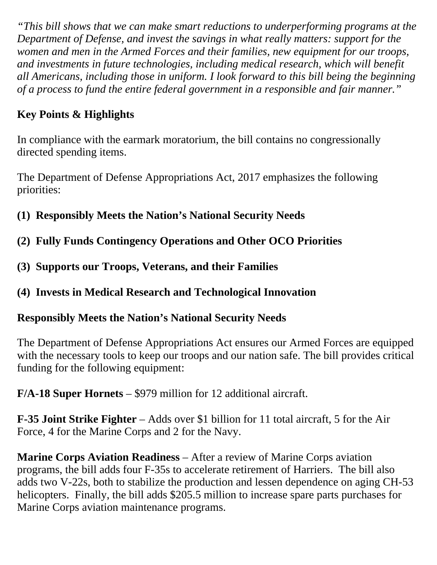*"This bill shows that we can make smart reductions to underperforming programs at the Department of Defense, and invest the savings in what really matters: support for the women and men in the Armed Forces and their families, new equipment for our troops, and investments in future technologies, including medical research, which will benefit all Americans, including those in uniform. I look forward to this bill being the beginning of a process to fund the entire federal government in a responsible and fair manner."*

## **Key Points & Highlights**

In compliance with the earmark moratorium, the bill contains no congressionally directed spending items.

The Department of Defense Appropriations Act, 2017 emphasizes the following priorities:

- **(1) Responsibly Meets the Nation's National Security Needs**
- **(2) Fully Funds Contingency Operations and Other OCO Priorities**
- **(3) Supports our Troops, Veterans, and their Families**
- **(4) Invests in Medical Research and Technological Innovation**

#### **Responsibly Meets the Nation's National Security Needs**

The Department of Defense Appropriations Act ensures our Armed Forces are equipped with the necessary tools to keep our troops and our nation safe. The bill provides critical funding for the following equipment:

**F/A-18 Super Hornets** – \$979 million for 12 additional aircraft.

**F-35 Joint Strike Fighter** – Adds over \$1 billion for 11 total aircraft, 5 for the Air Force, 4 for the Marine Corps and 2 for the Navy.

**Marine Corps Aviation Readiness** – After a review of Marine Corps aviation programs, the bill adds four F-35s to accelerate retirement of Harriers. The bill also adds two V-22s, both to stabilize the production and lessen dependence on aging CH-53 helicopters. Finally, the bill adds \$205.5 million to increase spare parts purchases for Marine Corps aviation maintenance programs.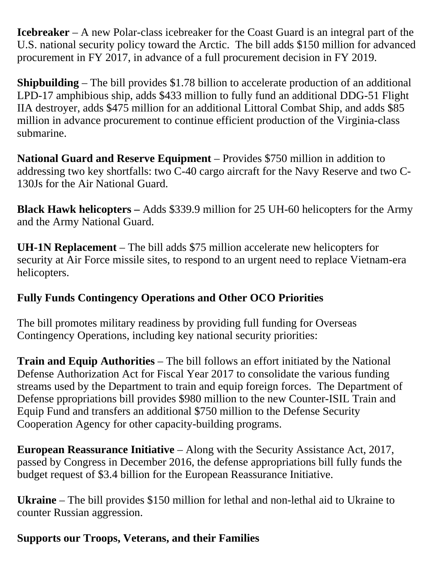**Icebreaker** – A new Polar-class icebreaker for the Coast Guard is an integral part of the U.S. national security policy toward the Arctic. The bill adds \$150 million for advanced procurement in FY 2017, in advance of a full procurement decision in FY 2019.

**Shipbuilding** – The bill provides \$1.78 billion to accelerate production of an additional LPD-17 amphibious ship, adds \$433 million to fully fund an additional DDG-51 Flight IIA destroyer, adds \$475 million for an additional Littoral Combat Ship, and adds \$85 million in advance procurement to continue efficient production of the Virginia-class submarine.

**National Guard and Reserve Equipment** – Provides \$750 million in addition to addressing two key shortfalls: two C-40 cargo aircraft for the Navy Reserve and two C-130Js for the Air National Guard.

**Black Hawk helicopters –** Adds \$339.9 million for 25 UH-60 helicopters for the Army and the Army National Guard.

**UH-1N Replacement** – The bill adds \$75 million accelerate new helicopters for security at Air Force missile sites, to respond to an urgent need to replace Vietnam-era helicopters.

#### **Fully Funds Contingency Operations and Other OCO Priorities**

The bill promotes military readiness by providing full funding for Overseas Contingency Operations, including key national security priorities:

**Train and Equip Authorities** – The bill follows an effort initiated by the National Defense Authorization Act for Fiscal Year 2017 to consolidate the various funding streams used by the Department to train and equip foreign forces. The Department of Defense ppropriations bill provides \$980 million to the new Counter-ISIL Train and Equip Fund and transfers an additional \$750 million to the Defense Security Cooperation Agency for other capacity-building programs.

**European Reassurance Initiative** – Along with the Security Assistance Act, 2017, passed by Congress in December 2016, the defense appropriations bill fully funds the budget request of \$3.4 billion for the European Reassurance Initiative.

**Ukraine** – The bill provides \$150 million for lethal and non-lethal aid to Ukraine to counter Russian aggression.

## **Supports our Troops, Veterans, and their Families**